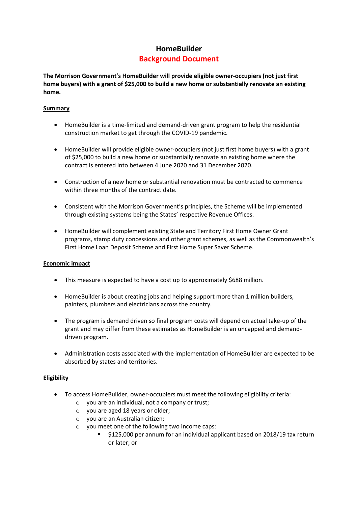# **HomeBuilder**

# **Background Document**

**The Morrison Government's HomeBuilder will provide eligible owner-occupiers (not just first home buyers) with a grant of \$25,000 to build a new home or substantially renovate an existing home.** 

## **Summary**

- HomeBuilder is a time-limited and demand-driven grant program to help the residential construction market to get through the COVID-19 pandemic.
- HomeBuilder will provide eligible owner-occupiers (not just first home buyers) with a grant of \$25,000 to build a new home or substantially renovate an existing home where the contract is entered into between 4 June 2020 and 31 December 2020.
- Construction of a new home or substantial renovation must be contracted to commence within three months of the contract date.
- Consistent with the Morrison Government's principles, the Scheme will be implemented through existing systems being the States' respective Revenue Offices.
- HomeBuilder will complement existing State and Territory First Home Owner Grant programs, stamp duty concessions and other grant schemes, as well as the Commonwealth's First Home Loan Deposit Scheme and First Home Super Saver Scheme.

#### **Economic impact**

- This measure is expected to have a cost up to approximately \$688 million.
- HomeBuilder is about creating jobs and helping support more than 1 million builders, painters, plumbers and electricians across the country.
- The program is demand driven so final program costs will depend on actual take-up of the grant and may differ from these estimates as HomeBuilder is an uncapped and demanddriven program.
- Administration costs associated with the implementation of HomeBuilder are expected to be absorbed by states and territories.

#### **Eligibility**

- To access HomeBuilder, owner-occupiers must meet the following eligibility criteria:
	- o you are an individual, not a company or trust;
	- o you are aged 18 years or older;
	- o you are an Australian citizen;
	- o you meet one of the following two income caps:
		- \$125,000 per annum for an individual applicant based on 2018/19 tax return or later; or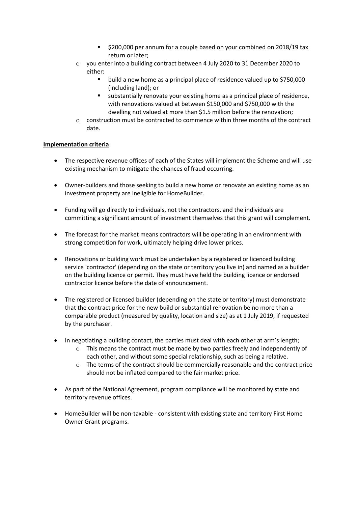- $\overline{ }$  \$200,000 per annum for a couple based on your combined on 2018/19 tax return or later;
- o you enter into a building contract between 4 July 2020 to 31 December 2020 to either:
	- **•** build a new home as a principal place of residence valued up to \$750,000 (including land); or
	- substantially renovate your existing home as a principal place of residence, with renovations valued at between \$150,000 and \$750,000 with the dwelling not valued at more than \$1.5 million before the renovation;
- $\circ$  construction must be contracted to commence within three months of the contract date.

# **Implementation criteria**

- The respective revenue offices of each of the States will implement the Scheme and will use existing mechanism to mitigate the chances of fraud occurring.
- Owner-builders and those seeking to build a new home or renovate an existing home as an investment property are ineligible for HomeBuilder.
- Funding will go directly to individuals, not the contractors, and the individuals are committing a significant amount of investment themselves that this grant will complement.
- The forecast for the market means contractors will be operating in an environment with strong competition for work, ultimately helping drive lower prices.
- Renovations or building work must be undertaken by a registered or licenced building service 'contractor' (depending on the state or territory you live in) and named as a builder on the building licence or permit. They must have held the building licence or endorsed contractor licence before the date of announcement.
- The registered or licensed builder (depending on the state or territory) must demonstrate that the contract price for the new build or substantial renovation be no more than a comparable product (measured by quality, location and size) as at 1 July 2019, if requested by the purchaser.
- In negotiating a building contact, the parties must deal with each other at arm's length;
	- $\circ$  This means the contract must be made by two parties freely and independently of each other, and without some special relationship, such as being a relative.
	- o The terms of the contract should be commercially reasonable and the contract price should not be inflated compared to the fair market price.
- As part of the National Agreement, program compliance will be monitored by state and territory revenue offices.
- HomeBuilder will be non-taxable consistent with existing state and territory First Home Owner Grant programs.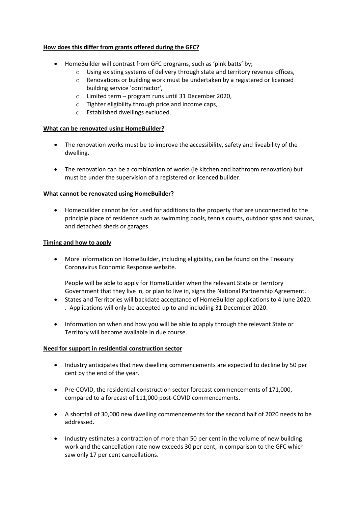# **How does this differ from grants offered during the GFC?**

- HomeBuilder will contrast from GFC programs, such as 'pink batts' by;
	- o Using existing systems of delivery through state and territory revenue offices,
	- o Renovations or building work must be undertaken by a registered or licenced building service 'contractor',
	- o Limited term program runs until 31 December 2020,
	- o Tighter eligibility through price and income caps,
	- o Established dwellings excluded.

#### **What can be renovated using HomeBuilder?**

- The renovation works must be to improve the accessibility, safety and liveability of the dwelling.
- The renovation can be a combination of works (ie kitchen and bathroom renovation) but must be under the supervision of a registered or licenced builder.

#### **What cannot be renovated using HomeBuilder?**

 Homebuilder cannot be for used for additions to the property that are unconnected to the principle place of residence such as swimming pools, tennis courts, outdoor spas and saunas, and detached sheds or garages.

#### **Timing and how to apply**

 More information on HomeBuilder, including eligibility, can be found on the Treasury Coronavirus Economic Response website.

People will be able to apply for HomeBuilder when the relevant State or Territory Government that they live in, or plan to live in, signs the National Partnership Agreement.

- States and Territories will backdate acceptance of HomeBuilder applications to 4 June 2020. . Applications will only be accepted up to and including 31 December 2020.
- Information on when and how you will be able to apply through the relevant State or Territory will become available in due course.

#### **Need for support in residential construction sector**

- Industry anticipates that new dwelling commencements are expected to decline by 50 per cent by the end of the year.
- Pre-COVID, the residential construction sector forecast commencements of 171,000, compared to a forecast of 111,000 post-COVID commencements.
- A shortfall of 30,000 new dwelling commencements for the second half of 2020 needs to be addressed.
- Industry estimates a contraction of more than 50 per cent in the volume of new building work and the cancellation rate now exceeds 30 per cent, in comparison to the GFC which saw only 17 per cent cancellations.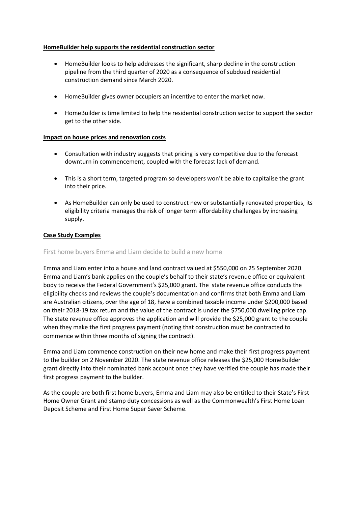# **HomeBuilder help supports the residential construction sector**

- HomeBuilder looks to help addresses the significant, sharp decline in the construction pipeline from the third quarter of 2020 as a consequence of subdued residential construction demand since March 2020.
- HomeBuilder gives owner occupiers an incentive to enter the market now.
- HomeBuilder is time limited to help the residential construction sector to support the sector get to the other side.

# **Impact on house prices and renovation costs**

- Consultation with industry suggests that pricing is very competitive due to the forecast downturn in commencement, coupled with the forecast lack of demand.
- This is a short term, targeted program so developers won't be able to capitalise the grant into their price.
- As HomeBuilder can only be used to construct new or substantially renovated properties, its eligibility criteria manages the risk of longer term affordability challenges by increasing supply.

# **Case Study Examples**

## First home buyers Emma and Liam decide to build a new home

Emma and Liam enter into a house and land contract valued at \$550,000 on 25 September 2020. Emma and Liam's bank applies on the couple's behalf to their state's revenue office or equivalent body to receive the Federal Government's \$25,000 grant. The state revenue office conducts the eligibility checks and reviews the couple's documentation and confirms that both Emma and Liam are Australian citizens, over the age of 18, have a combined taxable income under \$200,000 based on their 2018-19 tax return and the value of the contract is under the \$750,000 dwelling price cap. The state revenue office approves the application and will provide the \$25,000 grant to the couple when they make the first progress payment (noting that construction must be contracted to commence within three months of signing the contract).

Emma and Liam commence construction on their new home and make their first progress payment to the builder on 2 November 2020. The state revenue office releases the \$25,000 HomeBuilder grant directly into their nominated bank account once they have verified the couple has made their first progress payment to the builder.

As the couple are both first home buyers, Emma and Liam may also be entitled to their State's First Home Owner Grant and stamp duty concessions as well as the Commonwealth's First Home Loan Deposit Scheme and First Home Super Saver Scheme.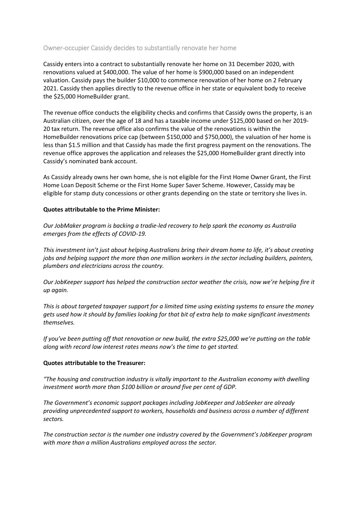# Owner-occupier Cassidy decides to substantially renovate her home

Cassidy enters into a contract to substantially renovate her home on 31 December 2020, with renovations valued at \$400,000. The value of her home is \$900,000 based on an independent valuation. Cassidy pays the builder \$10,000 to commence renovation of her home on 2 February 2021. Cassidy then applies directly to the revenue office in her state or equivalent body to receive the \$25,000 HomeBuilder grant.

The revenue office conducts the eligibility checks and confirms that Cassidy owns the property, is an Australian citizen, over the age of 18 and has a taxable income under \$125,000 based on her 2019- 20 tax return. The revenue office also confirms the value of the renovations is within the HomeBuilder renovations price cap (between \$150,000 and \$750,000), the valuation of her home is less than \$1.5 million and that Cassidy has made the first progress payment on the renovations. The revenue office approves the application and releases the \$25,000 HomeBuilder grant directly into Cassidy's nominated bank account.

As Cassidy already owns her own home, she is not eligible for the First Home Owner Grant, the First Home Loan Deposit Scheme or the First Home Super Saver Scheme. However, Cassidy may be eligible for stamp duty concessions or other grants depending on the state or territory she lives in.

#### **Quotes attributable to the Prime Minister:**

*Our JobMaker program is backing a tradie-led recovery to help spark the economy as Australia emerges from the effects of COVID-19.*

*This investment isn't just about helping Australians bring their dream home to life, it's about creating jobs and helping support the more than one million workers in the sector including builders, painters, plumbers and electricians across the country.*

*Our JobKeeper support has helped the construction sector weather the crisis, now we're helping fire it up again.*

*This is about targeted taxpayer support for a limited time using existing systems to ensure the money gets used how it should by families looking for that bit of extra help to make significant investments themselves.*

*If you've been putting off that renovation or new build, the extra \$25,000 we're putting on the table along with record low interest rates means now's the time to get started.*

#### **Quotes attributable to the Treasurer:**

*"The housing and construction industry is vitally important to the Australian economy with dwelling investment worth more than \$100 billion or around five per cent of GDP.*

*The Government's economic support packages including JobKeeper and JobSeeker are already providing unprecedented support to workers, households and business across a number of different sectors.*

*The construction sector is the number one industry covered by the Government's JobKeeper program with more than a million Australians employed across the sector.*